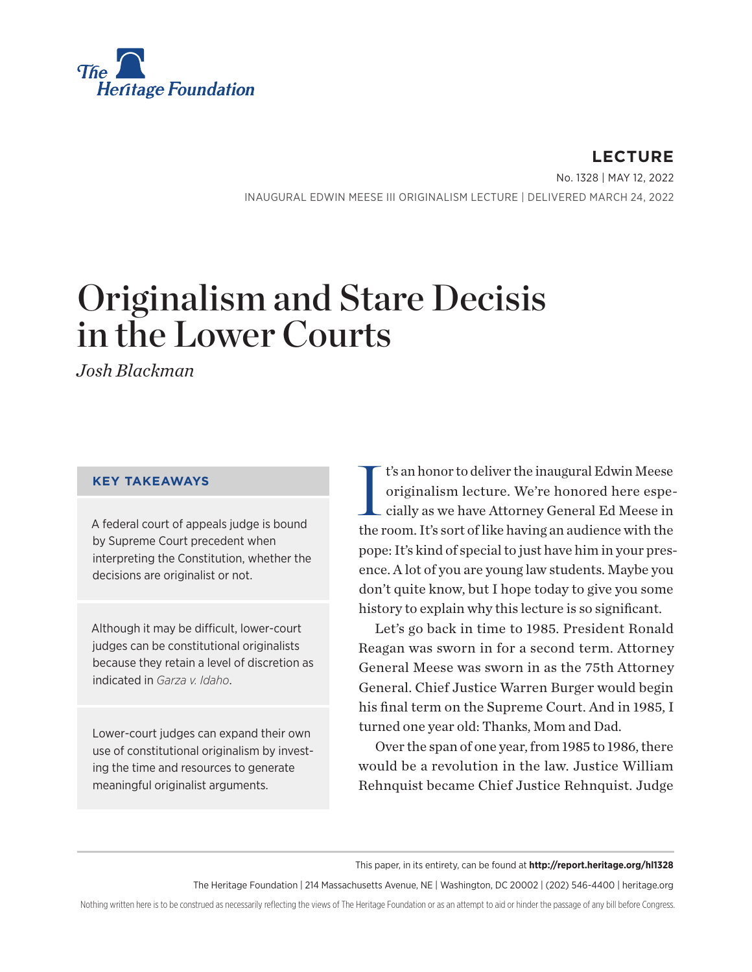

**LECTURE** No. 1328 | May 12, 2022 INAUGURAL EDWIN MEESE III ORIGINALISM LECTURE | DELIVERED MARCH 24, 2022

# Originalism and Stare Decisis in the Lower Courts

*Josh Blackman*

#### **KEY TAKEAWAYS**

A federal court of appeals judge is bound by Supreme Court precedent when interpreting the Constitution, whether the decisions are originalist or not.

Although it may be difficult, lower-court judges can be constitutional originalists because they retain a level of discretion as indicated in *Garza v. Idaho*.

Lower-court judges can expand their own use of constitutional originalism by investing the time and resources to generate meaningful originalist arguments.

I t's an honor to deliver the inaugural Edwin Meese originalism lecture. We're honored here especially as we have Attorney General Ed Meese in the room. It's sort of like having an audience with the pope: It's kind of special to just have him in your presence. A lot of you are young law students. Maybe you don't quite know, but I hope today to give you some history to explain why this lecture is so significant.

Let's go back in time to 1985. President Ronald Reagan was sworn in for a second term. Attorney General Meese was sworn in as the 75th Attorney General. Chief Justice Warren Burger would begin his final term on the Supreme Court. And in 1985, I turned one year old: Thanks, Mom and Dad.

Over the span of one year, from 1985 to 1986, there would be a revolution in the law. Justice William Rehnquist became Chief Justice Rehnquist. Judge

This paper, in its entirety, can be found at **http://report.heritage.org/hl1328**

The Heritage Foundation | 214 Massachusetts Avenue, NE | Washington, DC 20002 | (202) 546-4400 | [heritage.org](http://www.heritage.org)

Nothing written here is to be construed as necessarily reflecting the views of The Heritage Foundation or as an attempt to aid or hinder the passage of any bill before Congress.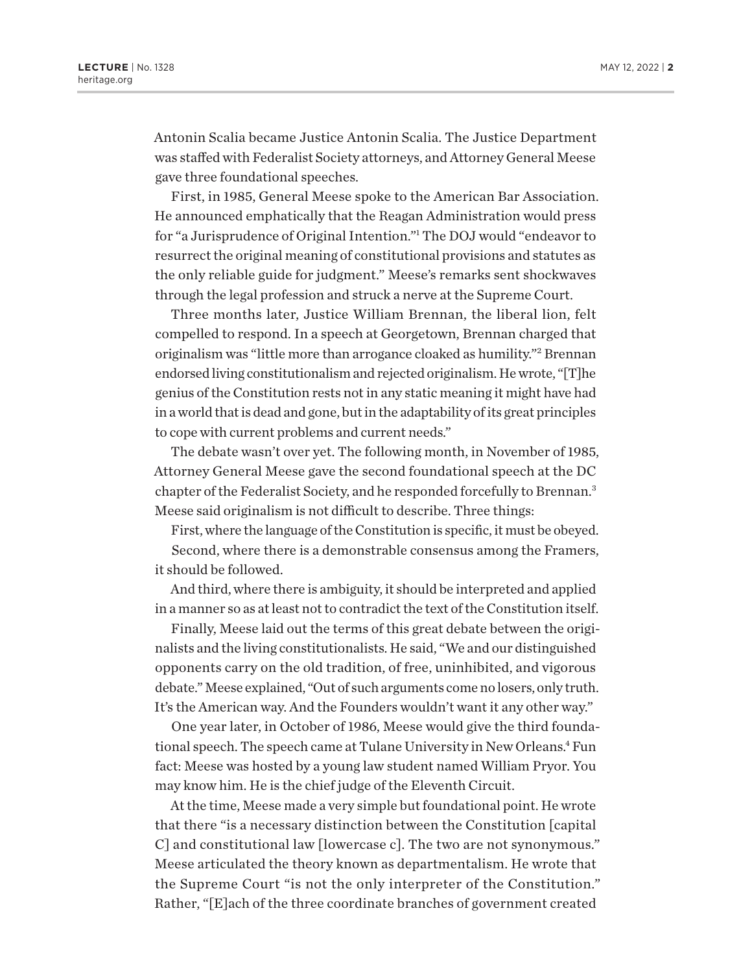<span id="page-1-0"></span>Antonin Scalia became Justice Antonin Scalia. The Justice Department was staffed with Federalist Society attorneys, and Attorney General Meese gave three foundational speeches.

First, in 1985, General Meese spoke to the American Bar Association. He announced emphatically that the Reagan Administration would press for "a Jurisprudence of Original Intention.["1](#page-11-0) The DOJ would "endeavor to resurrect the original meaning of constitutional provisions and statutes as the only reliable guide for judgment." Meese's remarks sent shockwaves through the legal profession and struck a nerve at the Supreme Court.

Three months later, Justice William Brennan, the liberal lion, felt compelled to respond. In a speech at Georgetown, Brennan charged that originalism was "little more than arrogance cloaked as humility.["2](#page-11-0) Brennan endorsed living constitutionalism and rejected originalism. He wrote, "[T]he genius of the Constitution rests not in any static meaning it might have had in a world that is dead and gone, but in the adaptability of its great principles to cope with current problems and current needs."

The debate wasn't over yet. The following month, in November of 1985, Attorney General Meese gave the second foundational speech at the DC chapter of the Federalist Society, and he responded forcefully to Brennan[.3](#page-11-0) Meese said originalism is not difficult to describe. Three things:

First, where the language of the Constitution is specific, it must be obeyed.

Second, where there is a demonstrable consensus among the Framers, it should be followed.

And third, where there is ambiguity, it should be interpreted and applied in a manner so as at least not to contradict the text of the Constitution itself.

Finally, Meese laid out the terms of this great debate between the originalists and the living constitutionalists. He said, "We and our distinguished opponents carry on the old tradition, of free, uninhibited, and vigorous debate." Meese explained, "Out of such arguments come no losers, only truth. It's the American way. And the Founders wouldn't want it any other way."

One year later, in October of 1986, Meese would give the third foundational speech. The speech came at Tulane University in New Orleans.<sup>4</sup> Fun fact: Meese was hosted by a young law student named William Pryor. You may know him. He is the chief judge of the Eleventh Circuit.

At the time, Meese made a very simple but foundational point. He wrote that there "is a necessary distinction between the Constitution [capital C] and constitutional law [lowercase c]. The two are not synonymous." Meese articulated the theory known as departmentalism. He wrote that the Supreme Court "is not the only interpreter of the Constitution." Rather, "[E]ach of the three coordinate branches of government created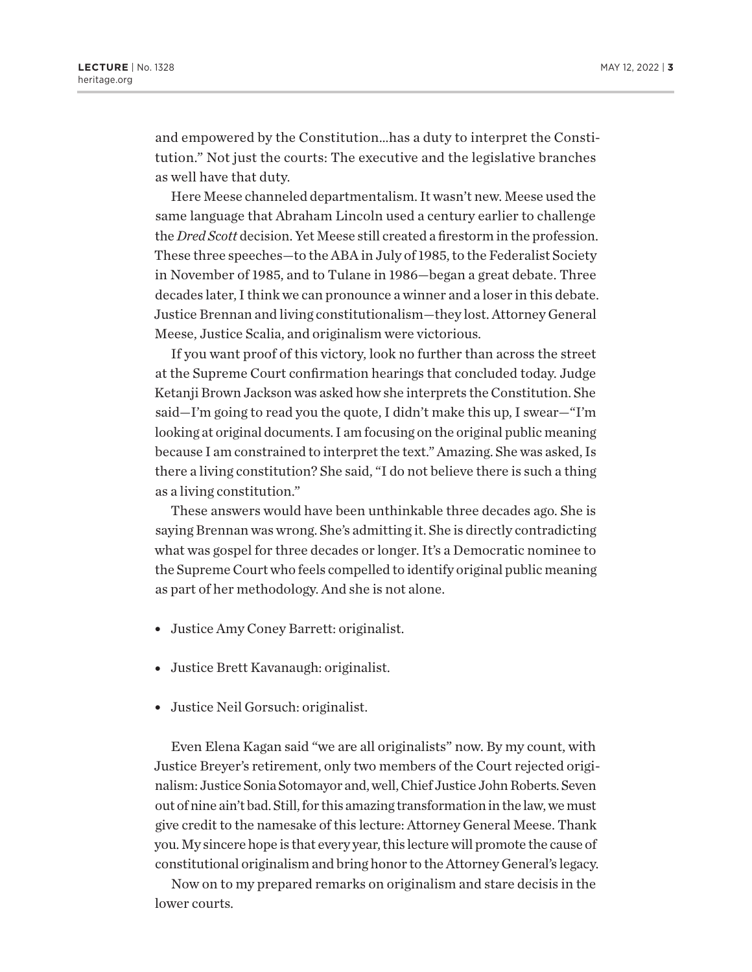and empowered by the Constitution…has a duty to interpret the Constitution." Not just the courts: The executive and the legislative branches as well have that duty.

Here Meese channeled departmentalism. It wasn't new. Meese used the same language that Abraham Lincoln used a century earlier to challenge the *Dred Scott* decision. Yet Meese still created a firestorm in the profession. These three speeches—to the ABA in July of 1985, to the Federalist Society in November of 1985, and to Tulane in 1986—began a great debate. Three decades later, I think we can pronounce a winner and a loser in this debate. Justice Brennan and living constitutionalism—they lost. Attorney General Meese, Justice Scalia, and originalism were victorious.

If you want proof of this victory, look no further than across the street at the Supreme Court confirmation hearings that concluded today. Judge Ketanji Brown Jackson was asked how she interprets the Constitution. She said—I'm going to read you the quote, I didn't make this up, I swear—"I'm looking at original documents. I am focusing on the original public meaning because I am constrained to interpret the text." Amazing. She was asked, Is there a living constitution? She said, "I do not believe there is such a thing as a living constitution."

These answers would have been unthinkable three decades ago. She is saying Brennan was wrong. She's admitting it. She is directly contradicting what was gospel for three decades or longer. It's a Democratic nominee to the Supreme Court who feels compelled to identify original public meaning as part of her methodology. And she is not alone.

- Justice Amy Coney Barrett: originalist.
- Justice Brett Kavanaugh: originalist.
- Justice Neil Gorsuch: originalist.

Even Elena Kagan said "we are all originalists" now. By my count, with Justice Breyer's retirement, only two members of the Court rejected originalism: Justice Sonia Sotomayor and, well, Chief Justice John Roberts. Seven out of nine ain't bad. Still, for this amazing transformation in the law, we must give credit to the namesake of this lecture: Attorney General Meese. Thank you. My sincere hope is that every year, this lecture will promote the cause of constitutional originalism and bring honor to the Attorney General's legacy.

Now on to my prepared remarks on originalism and stare decisis in the lower courts.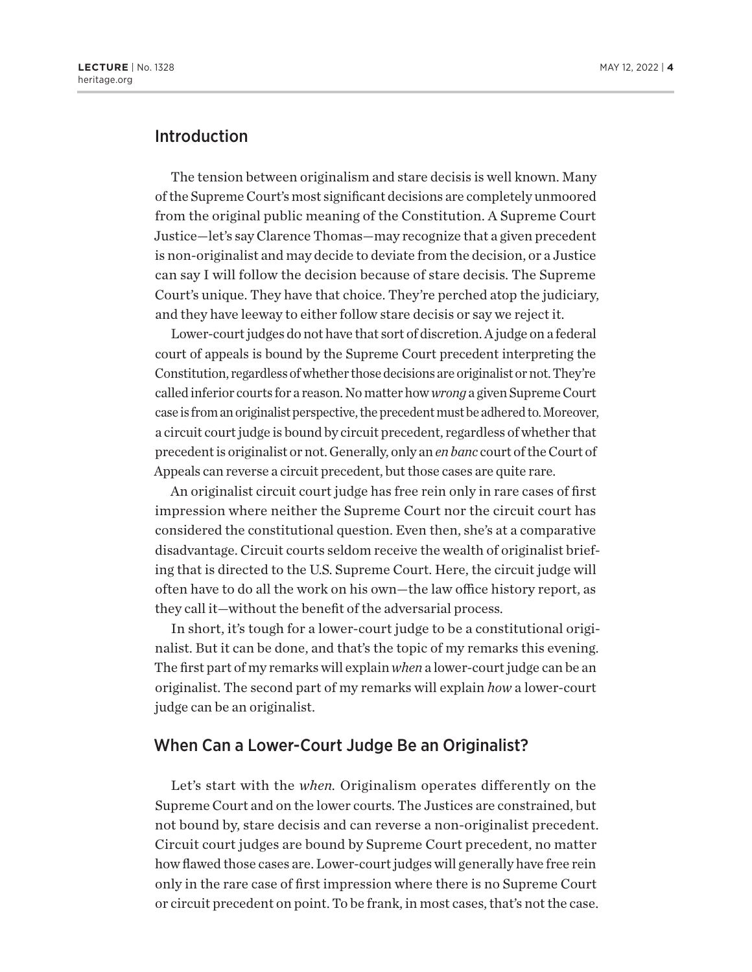### Introduction

The tension between originalism and stare decisis is well known. Many of the Supreme Court's most significant decisions are completely unmoored from the original public meaning of the Constitution. A Supreme Court Justice—let's say Clarence Thomas—may recognize that a given precedent is non-originalist and may decide to deviate from the decision, or a Justice can say I will follow the decision because of stare decisis. The Supreme Court's unique. They have that choice. They're perched atop the judiciary, and they have leeway to either follow stare decisis or say we reject it.

Lower-court judges do not have that sort of discretion. A judge on a federal court of appeals is bound by the Supreme Court precedent interpreting the Constitution, regardless of whether those decisions are originalist or not. They're called inferior courts for a reason. No matter how *wrong* a given Supreme Court case is from an originalist perspective, the precedent must be adhered to. Moreover, a circuit court judge is bound by circuit precedent, regardless of whether that precedent is originalist or not. Generally, only an *en banc* court of the Court of Appeals can reverse a circuit precedent, but those cases are quite rare.

An originalist circuit court judge has free rein only in rare cases of first impression where neither the Supreme Court nor the circuit court has considered the constitutional question. Even then, she's at a comparative disadvantage. Circuit courts seldom receive the wealth of originalist briefing that is directed to the U.S. Supreme Court. Here, the circuit judge will often have to do all the work on his own—the law office history report, as they call it—without the benefit of the adversarial process.

In short, it's tough for a lower-court judge to be a constitutional originalist. But it can be done, and that's the topic of my remarks this evening. The first part of my remarks will explain *when* a lower-court judge can be an originalist. The second part of my remarks will explain *how* a lower-court judge can be an originalist.

#### When Can a Lower-Court Judge Be an Originalist?

Let's start with the *when.* Originalism operates differently on the Supreme Court and on the lower courts. The Justices are constrained, but not bound by, stare decisis and can reverse a non-originalist precedent. Circuit court judges are bound by Supreme Court precedent, no matter how flawed those cases are. Lower-court judges will generally have free rein only in the rare case of first impression where there is no Supreme Court or circuit precedent on point. To be frank, in most cases, that's not the case.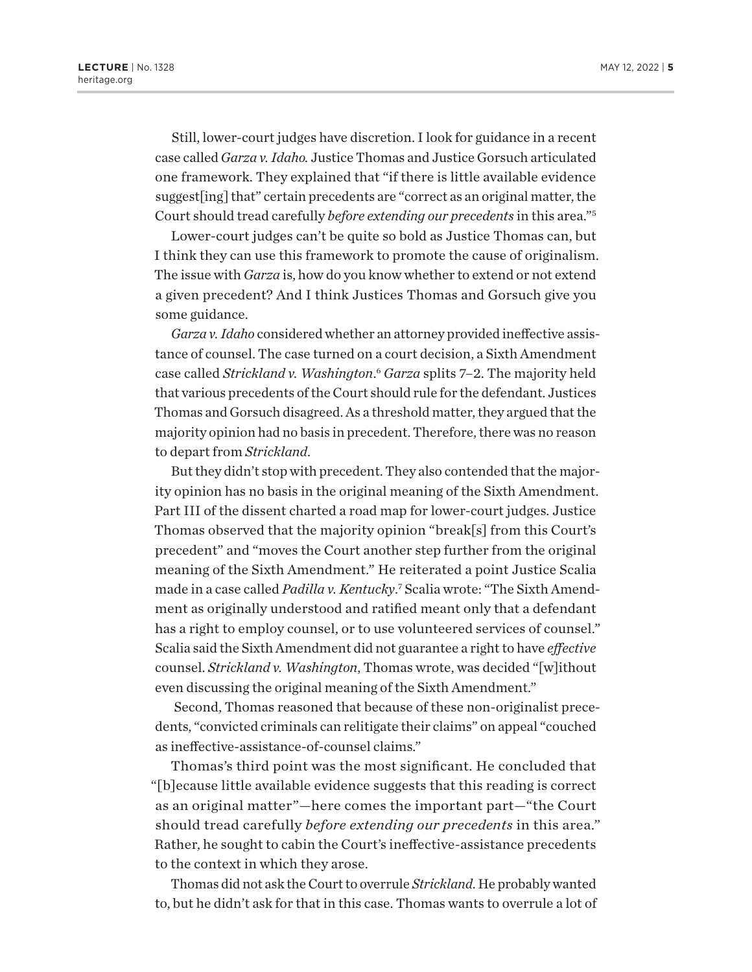<span id="page-4-0"></span>Still, lower-court judges have discretion. I look for guidance in a recent case called *Garza v. Idaho.* Justice Thomas and Justice Gorsuch articulated one framework. They explained that "if there is little available evidence suggest[ing] that" certain precedents are "correct as an original matter, the Court should tread carefully *before extending our precedents* in this area.["5](#page-11-0)

Lower-court judges can't be quite so bold as Justice Thomas can, but I think they can use this framework to promote the cause of originalism. The issue with *Garza* is, how do you know whether to extend or not extend a given precedent? And I think Justices Thomas and Gorsuch give you some guidance.

*Garza v. Idaho* considered whether an attorney provided ineffective assistance of counsel. The case turned on a court decision, a Sixth Amendment case called *Strickland v. Washington*. [6](#page-11-0) *Garza* splits 7–2. The majority held that various precedents of the Court should rule for the defendant. Justices Thomas and Gorsuch disagreed. As a threshold matter, they argued that the majority opinion had no basis in precedent. Therefore, there was no reason to depart from *Strickland*.

But they didn't stop with precedent. They also contended that the majority opinion has no basis in the original meaning of the Sixth Amendment. Part III of the dissent charted a road map for lower-court judges. Justice Thomas observed that the majority opinion "break[s] from this Court's precedent" and "moves the Court another step further from the original meaning of the Sixth Amendment." He reiterated a point Justice Scalia made in a case called Padilla v. Kentucky.<sup>[7](#page-11-0)</sup> Scalia wrote: "The Sixth Amendment as originally understood and ratified meant only that a defendant has a right to employ counsel, or to use volunteered services of counsel." Scalia said the Sixth Amendment did not guarantee a right to have *effective*  counsel. *Strickland v. Washington*, Thomas wrote, was decided "[w]ithout even discussing the original meaning of the Sixth Amendment."

 Second, Thomas reasoned that because of these non-originalist precedents, "convicted criminals can relitigate their claims" on appeal "couched as ineffective-assistance-of-counsel claims."

Thomas's third point was the most significant. He concluded that "[b]ecause little available evidence suggests that this reading is correct as an original matter"—here comes the important part—"the Court should tread carefully *before extending our precedents* in this area." Rather, he sought to cabin the Court's ineffective-assistance precedents to the context in which they arose.

Thomas did not ask the Court to overrule *Strickland*. He probably wanted to, but he didn't ask for that in this case. Thomas wants to overrule a lot of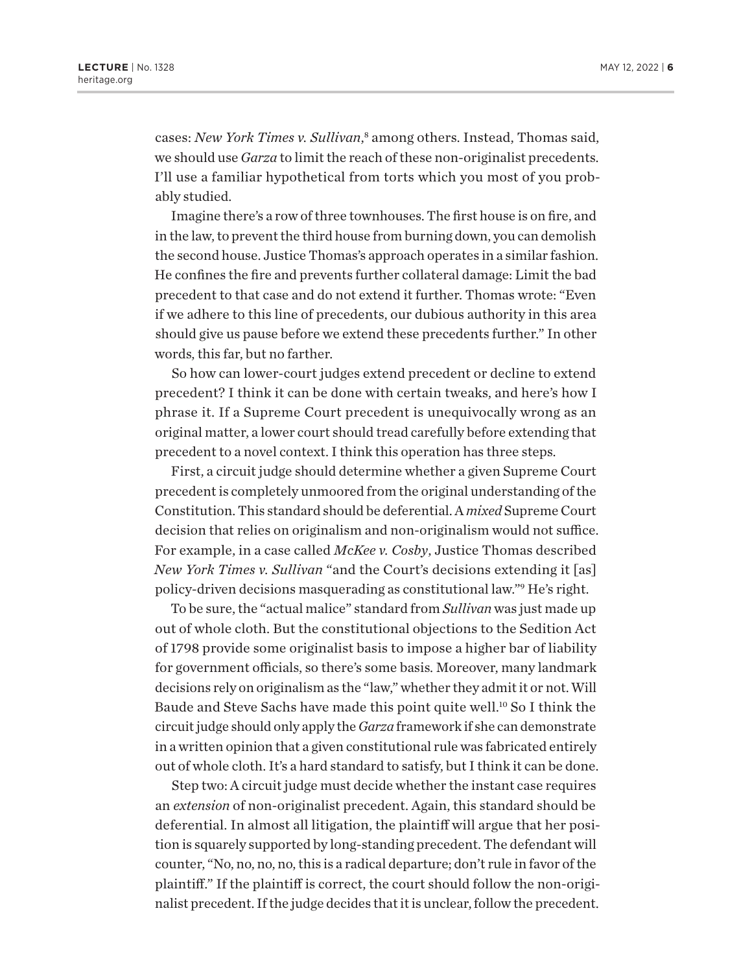<span id="page-5-0"></span>cases: New York Times v. Sullivan,<sup>[8](#page-11-0)</sup> among others. Instead, Thomas said, we should use *Garza* to limit the reach of these non-originalist precedents. I'll use a familiar hypothetical from torts which you most of you probably studied.

Imagine there's a row of three townhouses. The first house is on fire, and in the law, to prevent the third house from burning down, you can demolish the second house. Justice Thomas's approach operates in a similar fashion. He confines the fire and prevents further collateral damage: Limit the bad precedent to that case and do not extend it further. Thomas wrote: "Even if we adhere to this line of precedents, our dubious authority in this area should give us pause before we extend these precedents further." In other words, this far, but no farther.

So how can lower-court judges extend precedent or decline to extend precedent? I think it can be done with certain tweaks, and here's how I phrase it. If a Supreme Court precedent is unequivocally wrong as an original matter, a lower court should tread carefully before extending that precedent to a novel context. I think this operation has three steps.

First, a circuit judge should determine whether a given Supreme Court precedent is completely unmoored from the original understanding of the Constitution. This standard should be deferential. A *mixed* Supreme Court decision that relies on originalism and non-originalism would not suffice. For example, in a case called *McKee v. Cosby*, Justice Thomas described *New York Times v. Sullivan* "and the Court's decisions extending it [as] policy-driven decisions masquerading as constitutional law."[9](#page-11-0) He's right.

To be sure, the "actual malice" standard from *Sullivan* was just made up out of whole cloth. But the constitutional objections to the Sedition Act of 1798 provide some originalist basis to impose a higher bar of liability for government officials, so there's some basis. Moreover, many landmark decisions rely on originalism as the "law," whether they admit it or not. Will Baude and Steve Sachs have made this point quite well.[10](#page-11-0) So I think the circuit judge should only apply the *Garza* framework if she can demonstrate in a written opinion that a given constitutional rule was fabricated entirely out of whole cloth. It's a hard standard to satisfy, but I think it can be done.

Step two: A circuit judge must decide whether the instant case requires an *extension* of non-originalist precedent. Again, this standard should be deferential. In almost all litigation, the plaintiff will argue that her position is squarely supported by long-standing precedent. The defendant will counter, "No, no, no, no, this is a radical departure; don't rule in favor of the plaintiff." If the plaintiff is correct, the court should follow the non-originalist precedent. If the judge decides that it is unclear, follow the precedent.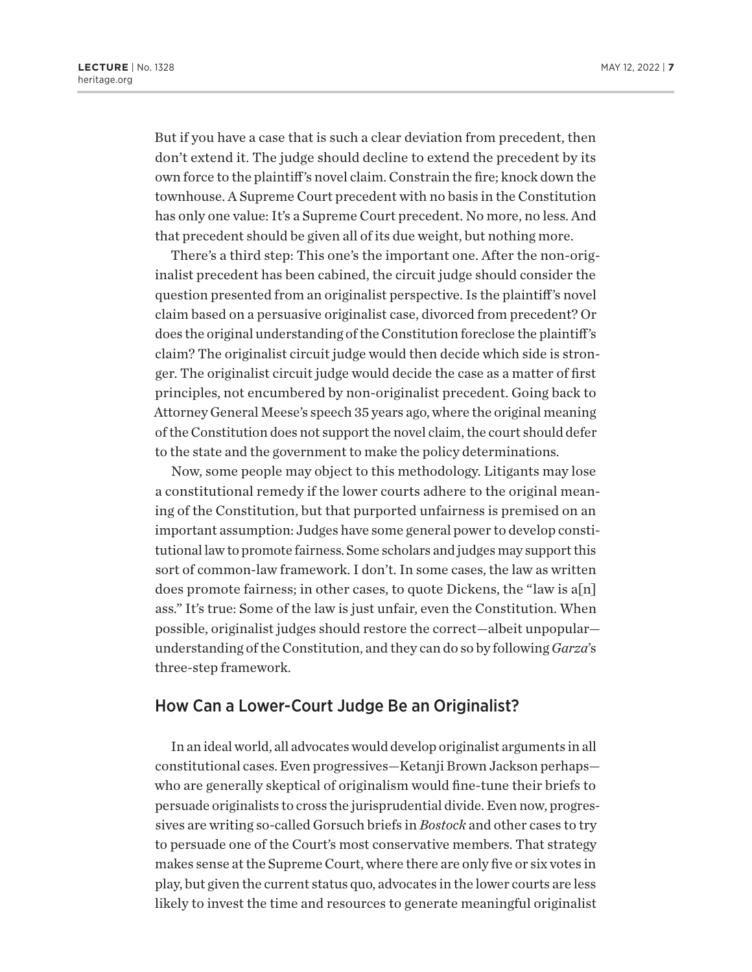But if you have a case that is such a clear deviation from precedent, then don't extend it. The judge should decline to extend the precedent by its own force to the plaintiff's novel claim. Constrain the fire; knock down the townhouse. A Supreme Court precedent with no basis in the Constitution has only one value: It's a Supreme Court precedent. No more, no less. And that precedent should be given all of its due weight, but nothing more.

There's a third step: This one's the important one. After the non-originalist precedent has been cabined, the circuit judge should consider the question presented from an originalist perspective. Is the plaintiff's novel claim based on a persuasive originalist case, divorced from precedent? Or does the original understanding of the Constitution foreclose the plaintiff's claim? The originalist circuit judge would then decide which side is stronger. The originalist circuit judge would decide the case as a matter of first principles, not encumbered by non-originalist precedent. Going back to Attorney General Meese's speech 35 years ago, where the original meaning of the Constitution does not support the novel claim, the court should defer to the state and the government to make the policy determinations.

Now, some people may object to this methodology. Litigants may lose a constitutional remedy if the lower courts adhere to the original meaning of the Constitution, but that purported unfairness is premised on an important assumption: Judges have some general power to develop constitutional law to promote fairness. Some scholars and judges may support this sort of common-law framework. I don't. In some cases, the law as written does promote fairness; in other cases, to quote Dickens, the "law is a[n] ass." It's true: Some of the law is just unfair, even the Constitution. When possible, originalist judges should restore the correct—albeit unpopular understanding of the Constitution, and they can do so by following *Garza*'s three-step framework.

#### How Can a Lower-Court Judge Be an Originalist?

In an ideal world, all advocates would develop originalist arguments in all constitutional cases. Even progressives—Ketanji Brown Jackson perhaps who are generally skeptical of originalism would fine-tune their briefs to persuade originalists to cross the jurisprudential divide. Even now, progressives are writing so-called Gorsuch briefs in *Bostock* and other cases to try to persuade one of the Court's most conservative members. That strategy makes sense at the Supreme Court, where there are only five or six votes in play, but given the current status quo, advocates in the lower courts are less likely to invest the time and resources to generate meaningful originalist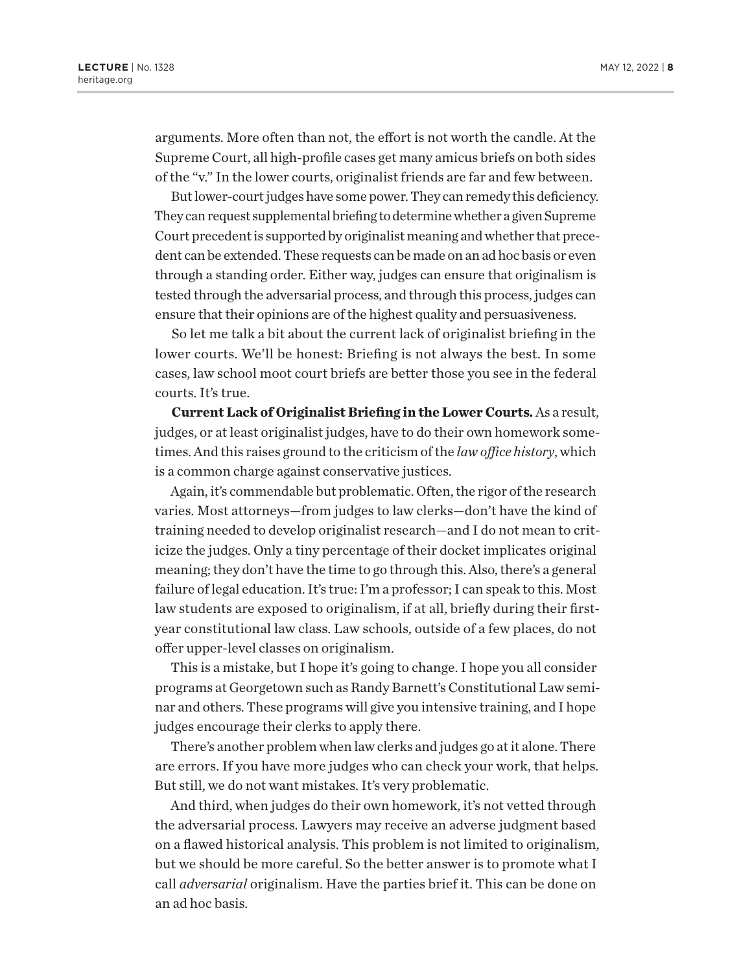arguments. More often than not, the effort is not worth the candle. At the Supreme Court, all high-profile cases get many amicus briefs on both sides of the "v." In the lower courts, originalist friends are far and few between.

But lower-court judges have some power. They can remedy this deficiency. They can request supplemental briefing to determine whether a given Supreme Court precedent is supported by originalist meaning and whether that precedent can be extended. These requests can be made on an ad hoc basis or even through a standing order. Either way, judges can ensure that originalism is tested through the adversarial process, and through this process, judges can ensure that their opinions are of the highest quality and persuasiveness.

So let me talk a bit about the current lack of originalist briefing in the lower courts. We'll be honest: Briefing is not always the best. In some cases, law school moot court briefs are better those you see in the federal courts. It's true.

**Current Lack of Originalist Briefing in the Lower Courts.** As a result, judges, or at least originalist judges, have to do their own homework sometimes. And this raises ground to the criticism of the *law office history*, which is a common charge against conservative justices.

Again, it's commendable but problematic. Often, the rigor of the research varies. Most attorneys—from judges to law clerks—don't have the kind of training needed to develop originalist research—and I do not mean to criticize the judges. Only a tiny percentage of their docket implicates original meaning; they don't have the time to go through this. Also, there's a general failure of legal education. It's true: I'm a professor; I can speak to this. Most law students are exposed to originalism, if at all, briefly during their firstyear constitutional law class. Law schools, outside of a few places, do not offer upper-level classes on originalism.

This is a mistake, but I hope it's going to change. I hope you all consider programs at Georgetown such as Randy Barnett's Constitutional Law seminar and others. These programs will give you intensive training, and I hope judges encourage their clerks to apply there.

There's another problem when law clerks and judges go at it alone. There are errors. If you have more judges who can check your work, that helps. But still, we do not want mistakes. It's very problematic.

And third, when judges do their own homework, it's not vetted through the adversarial process. Lawyers may receive an adverse judgment based on a flawed historical analysis. This problem is not limited to originalism, but we should be more careful. So the better answer is to promote what I call *adversarial* originalism. Have the parties brief it. This can be done on an ad hoc basis.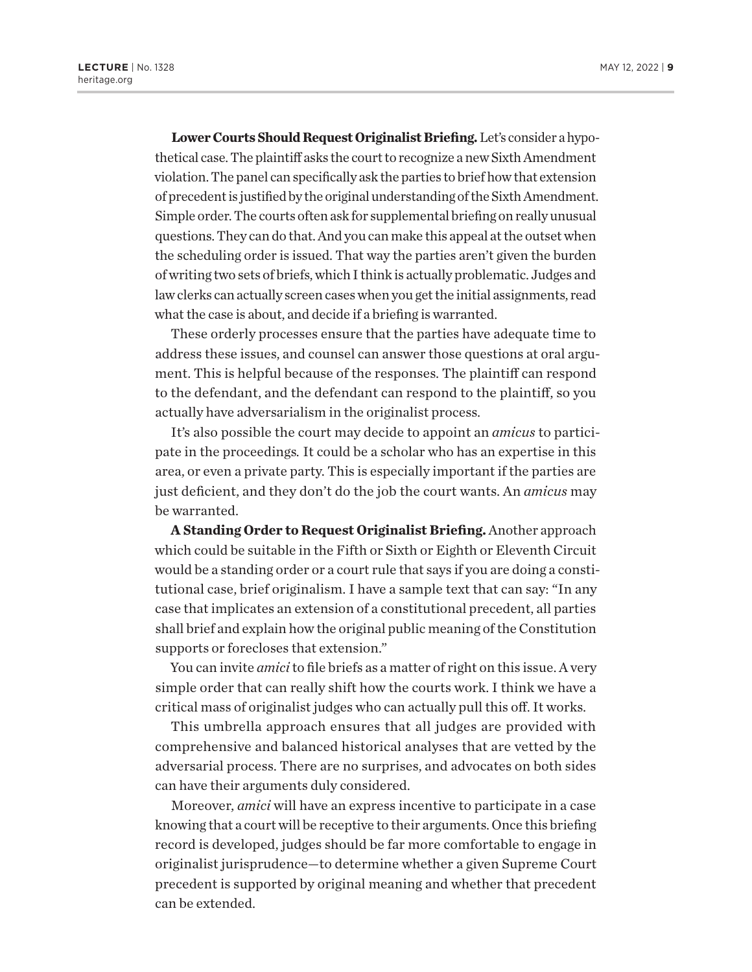**Lower Courts Should Request Originalist Briefing.** Let's consider a hypothetical case. The plaintiff asks the court to recognize a new Sixth Amendment violation. The panel can specifically ask the parties to brief how that extension of precedent is justified by the original understanding of the Sixth Amendment. Simple order. The courts often ask for supplemental briefing on really unusual questions. They can do that. And you can make this appeal at the outset when the scheduling order is issued. That way the parties aren't given the burden of writing two sets of briefs, which I think is actually problematic. Judges and law clerks can actually screen cases when you get the initial assignments, read what the case is about, and decide if a briefing is warranted.

These orderly processes ensure that the parties have adequate time to address these issues, and counsel can answer those questions at oral argument. This is helpful because of the responses. The plaintiff can respond to the defendant, and the defendant can respond to the plaintiff, so you actually have adversarialism in the originalist process.

It's also possible the court may decide to appoint an *amicus* to participate in the proceedings*.* It could be a scholar who has an expertise in this area, or even a private party. This is especially important if the parties are just deficient, and they don't do the job the court wants. An *amicus* may be warranted.

**A Standing Order to Request Originalist Briefing.** Another approach which could be suitable in the Fifth or Sixth or Eighth or Eleventh Circuit would be a standing order or a court rule that says if you are doing a constitutional case, brief originalism. I have a sample text that can say: "In any case that implicates an extension of a constitutional precedent, all parties shall brief and explain how the original public meaning of the Constitution supports or forecloses that extension."

You can invite *amici* to file briefs as a matter of right on this issue. A very simple order that can really shift how the courts work. I think we have a critical mass of originalist judges who can actually pull this off. It works.

This umbrella approach ensures that all judges are provided with comprehensive and balanced historical analyses that are vetted by the adversarial process. There are no surprises, and advocates on both sides can have their arguments duly considered.

Moreover, *amici* will have an express incentive to participate in a case knowing that a court will be receptive to their arguments. Once this briefing record is developed, judges should be far more comfortable to engage in originalist jurisprudence—to determine whether a given Supreme Court precedent is supported by original meaning and whether that precedent can be extended.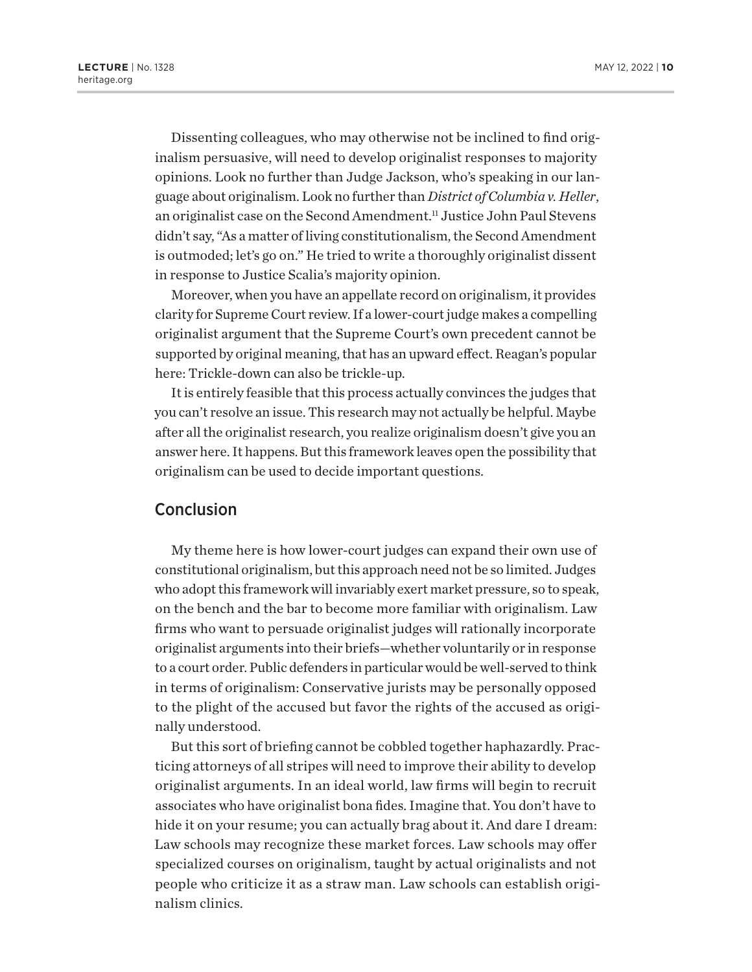<span id="page-9-0"></span>Dissenting colleagues, who may otherwise not be inclined to find originalism persuasive, will need to develop originalist responses to majority opinions. Look no further than Judge Jackson, who's speaking in our language about originalism. Look no further than *District of Columbia v. Heller*, an originalist case on the Second Amendment.<sup>[11](#page-11-0)</sup> Justice John Paul Stevens didn't say, "As a matter of living constitutionalism, the Second Amendment is outmoded; let's go on." He tried to write a thoroughly originalist dissent in response to Justice Scalia's majority opinion.

Moreover, when you have an appellate record on originalism, it provides clarity for Supreme Court review. If a lower-court judge makes a compelling originalist argument that the Supreme Court's own precedent cannot be supported by original meaning, that has an upward effect. Reagan's popular here: Trickle-down can also be trickle-up.

It is entirely feasible that this process actually convinces the judges that you can't resolve an issue. This research may not actually be helpful. Maybe after all the originalist research, you realize originalism doesn't give you an answer here. It happens. But this framework leaves open the possibility that originalism can be used to decide important questions.

#### Conclusion

My theme here is how lower-court judges can expand their own use of constitutional originalism, but this approach need not be so limited. Judges who adopt this framework will invariably exert market pressure, so to speak, on the bench and the bar to become more familiar with originalism. Law firms who want to persuade originalist judges will rationally incorporate originalist arguments into their briefs—whether voluntarily or in response to a court order. Public defenders in particular would be well-served to think in terms of originalism: Conservative jurists may be personally opposed to the plight of the accused but favor the rights of the accused as originally understood.

But this sort of briefing cannot be cobbled together haphazardly. Practicing attorneys of all stripes will need to improve their ability to develop originalist arguments. In an ideal world, law firms will begin to recruit associates who have originalist bona fides. Imagine that. You don't have to hide it on your resume; you can actually brag about it. And dare I dream: Law schools may recognize these market forces. Law schools may offer specialized courses on originalism, taught by actual originalists and not people who criticize it as a straw man. Law schools can establish originalism clinics.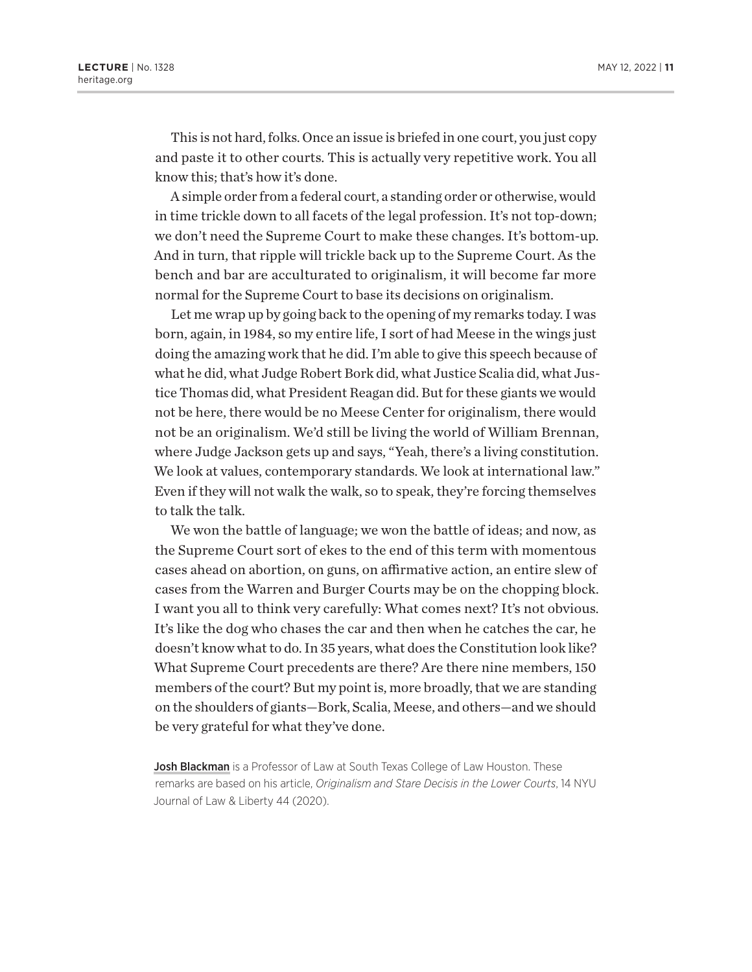This is not hard, folks. Once an issue is briefed in one court, you just copy and paste it to other courts. This is actually very repetitive work. You all know this; that's how it's done.

A simple order from a federal court, a standing order or otherwise, would in time trickle down to all facets of the legal profession. It's not top-down; we don't need the Supreme Court to make these changes. It's bottom-up. And in turn, that ripple will trickle back up to the Supreme Court. As the bench and bar are acculturated to originalism, it will become far more normal for the Supreme Court to base its decisions on originalism.

Let me wrap up by going back to the opening of my remarks today. I was born, again, in 1984, so my entire life, I sort of had Meese in the wings just doing the amazing work that he did. I'm able to give this speech because of what he did, what Judge Robert Bork did, what Justice Scalia did, what Justice Thomas did, what President Reagan did. But for these giants we would not be here, there would be no Meese Center for originalism, there would not be an originalism. We'd still be living the world of William Brennan, where Judge Jackson gets up and says, "Yeah, there's a living constitution. We look at values, contemporary standards. We look at international law." Even if they will not walk the walk, so to speak, they're forcing themselves to talk the talk.

We won the battle of language; we won the battle of ideas; and now, as the Supreme Court sort of ekes to the end of this term with momentous cases ahead on abortion, on guns, on affirmative action, an entire slew of cases from the Warren and Burger Courts may be on the chopping block. I want you all to think very carefully: What comes next? It's not obvious. It's like the dog who chases the car and then when he catches the car, he doesn't know what to do. In 35 years, what does the Constitution look like? What Supreme Court precedents are there? Are there nine members, 150 members of the court? But my point is, more broadly, that we are standing on the shoulders of giants—Bork, Scalia, Meese, and others—and we should be very grateful for what they've done.

Josh Blackman is a Professor of Law at South Texas College of Law Houston. These remarks are based on his article, *Originalism and Stare Decisis in the Lower Courts*, 14 NYU Journal of Law & Liberty 44 (2020).